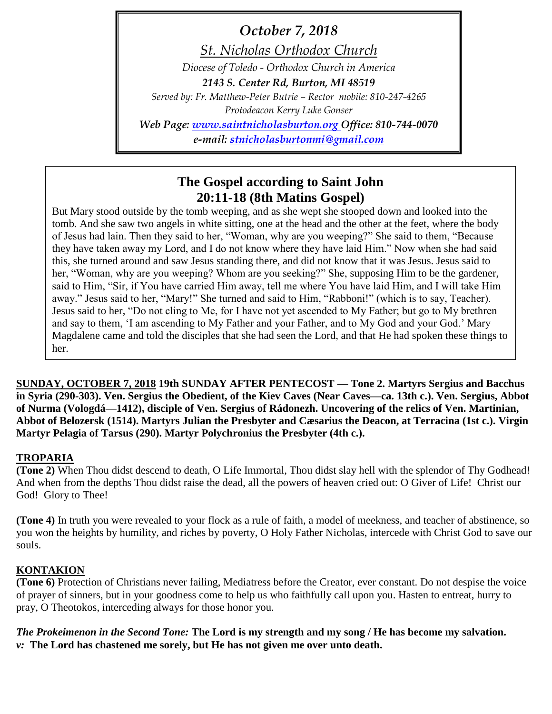*October 7, 2018*

*St. Nicholas Orthodox Church*

*Diocese of Toledo - Orthodox Church in America*

*2143 S. Center Rd, Burton, MI 48519*

*Served by: Fr. Matthew-Peter Butrie – Rector mobile: 810-247-4265 Protodeacon Kerry Luke Gonser*

*Web Page: [www.saintnicholasburton.org](http://www.saintnicholasburton.org/) Office: 810-744-0070 e-mail: [stnicholasburtonmi@gmail.com](mailto:stnicholasburtonmi@gmail.com)*

# **The Gospel according to Saint John 20:11-18 (8th Matins Gospel)**

But Mary stood outside by the tomb weeping, and as she wept she stooped down and looked into the tomb. And she saw two angels in white sitting, one at the head and the other at the feet, where the body of Jesus had lain. Then they said to her, "Woman, why are you weeping?" She said to them, "Because they have taken away my Lord, and I do not know where they have laid Him." Now when she had said this, she turned around and saw Jesus standing there, and did not know that it was Jesus. Jesus said to her, "Woman, why are you weeping? Whom are you seeking?" She, supposing Him to be the gardener, said to Him, "Sir, if You have carried Him away, tell me where You have laid Him, and I will take Him away." Jesus said to her, "Mary!" She turned and said to Him, "Rabboni!" (which is to say, Teacher). Jesus said to her, "Do not cling to Me, for I have not yet ascended to My Father; but go to My brethren and say to them, 'I am ascending to My Father and your Father, and to My God and your God.' Mary Magdalene came and told the disciples that she had seen the Lord, and that He had spoken these things to her.

**SUNDAY, OCTOBER 7, 2018 19th SUNDAY AFTER PENTECOST — Tone 2. Martyrs Sergius and Bacchus in Syria (290-303). Ven. Sergius the Obedient, of the Kiev Caves (Near Caves—ca. 13th c.). Ven. Sergius, Abbot of Nurma (Vologdá—1412), disciple of Ven. Sergius of Rádonezh. Uncovering of the relics of Ven. Martinian, Abbot of Belozersk (1514). Martyrs Julian the Presbyter and Cæsarius the Deacon, at Terracina (1st c.). Virgin Martyr Pelagia of Tarsus (290). Martyr Polychronius the Presbyter (4th c.).**

#### **TROPARIA**

**(Tone 2)** When Thou didst descend to death, O Life Immortal, Thou didst slay hell with the splendor of Thy Godhead! And when from the depths Thou didst raise the dead, all the powers of heaven cried out: O Giver of Life! Christ our God! Glory to Thee!

**(Tone 4)** In truth you were revealed to your flock as a rule of faith, a model of meekness, and teacher of abstinence, so you won the heights by humility, and riches by poverty, O Holy Father Nicholas, intercede with Christ God to save our souls.

## **KONTAKION**

**(Tone 6)** Protection of Christians never failing, Mediatress before the Creator, ever constant. Do not despise the voice of prayer of sinners, but in your goodness come to help us who faithfully call upon you. Hasten to entreat, hurry to pray, O Theotokos, interceding always for those honor you.

*The Prokeimenon in the Second Tone:* **The Lord is my strength and my song / He has become my salvation.** *v:* **The Lord has chastened me sorely, but He has not given me over unto death.**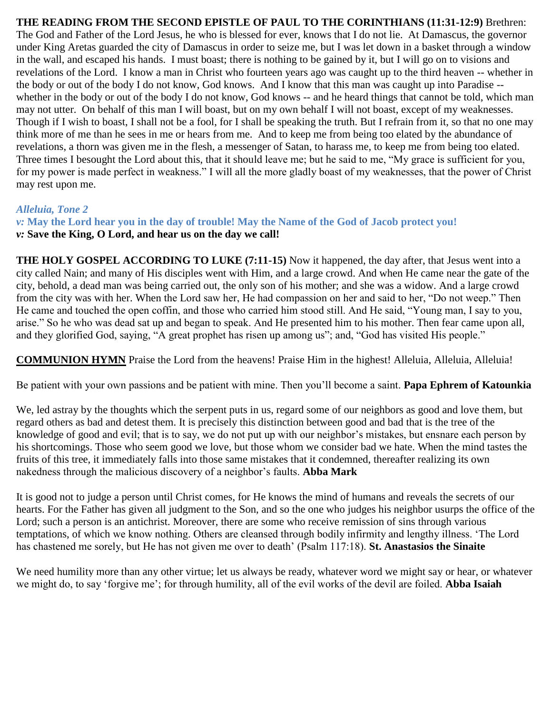**THE READING FROM THE SECOND EPISTLE OF PAUL TO THE CORINTHIANS (11:31-12:9)** Brethren: The God and Father of the Lord Jesus, he who is blessed for ever, knows that I do not lie. At Damascus, the governor under King Aretas guarded the city of Damascus in order to seize me, but I was let down in a basket through a window in the wall, and escaped his hands. I must boast; there is nothing to be gained by it, but I will go on to visions and revelations of the Lord. I know a man in Christ who fourteen years ago was caught up to the third heaven -- whether in the body or out of the body I do not know, God knows. And I know that this man was caught up into Paradise - whether in the body or out of the body I do not know, God knows -- and he heard things that cannot be told, which man may not utter. On behalf of this man I will boast, but on my own behalf I will not boast, except of my weaknesses. Though if I wish to boast, I shall not be a fool, for I shall be speaking the truth. But I refrain from it, so that no one may think more of me than he sees in me or hears from me. And to keep me from being too elated by the abundance of revelations, a thorn was given me in the flesh, a messenger of Satan, to harass me, to keep me from being too elated. Three times I besought the Lord about this, that it should leave me; but he said to me, "My grace is sufficient for you, for my power is made perfect in weakness." I will all the more gladly boast of my weaknesses, that the power of Christ may rest upon me.

### *Alleluia, Tone 2*

*v:* **May the Lord hear you in the day of trouble! May the Name of the God of Jacob protect you!** *v:* **Save the King, O Lord, and hear us on the day we call!**

**THE HOLY GOSPEL ACCORDING TO LUKE (7:11-15)** Now it happened, the day after, that Jesus went into a city called Nain; and many of His disciples went with Him, and a large crowd. And when He came near the gate of the city, behold, a dead man was being carried out, the only son of his mother; and she was a widow. And a large crowd from the city was with her. When the Lord saw her, He had compassion on her and said to her, "Do not weep." Then He came and touched the open coffin, and those who carried him stood still. And He said, "Young man, I say to you, arise." So he who was dead sat up and began to speak. And He presented him to his mother. Then fear came upon all, and they glorified God, saying, "A great prophet has risen up among us"; and, "God has visited His people."

**COMMUNION HYMN** Praise the Lord from the heavens! Praise Him in the highest! Alleluia, Alleluia, Alleluia!

Be patient with your own passions and be patient with mine. Then you'll become a saint. **Papa Ephrem of Katounkia**

We, led astray by the thoughts which the serpent puts in us, regard some of our neighbors as good and love them, but regard others as bad and detest them. It is precisely this distinction between good and bad that is the tree of the knowledge of good and evil; that is to say, we do not put up with our neighbor's mistakes, but ensnare each person by his shortcomings. Those who seem good we love, but those whom we consider bad we hate. When the mind tastes the fruits of this tree, it immediately falls into those same mistakes that it condemned, thereafter realizing its own nakedness through the malicious discovery of a neighbor's faults. **Abba Mark**

It is good not to judge a person until Christ comes, for He knows the mind of humans and reveals the secrets of our hearts. For the Father has given all judgment to the Son, and so the one who judges his neighbor usurps the office of the Lord; such a person is an antichrist. Moreover, there are some who receive remission of sins through various temptations, of which we know nothing. Others are cleansed through bodily infirmity and lengthy illness. 'The Lord has chastened me sorely, but He has not given me over to death' (Psalm 117:18). **St. Anastasios the Sinaite**

We need humility more than any other virtue; let us always be ready, whatever word we might say or hear, or whatever we might do, to say 'forgive me'; for through humility, all of the evil works of the devil are foiled. **Abba Isaiah**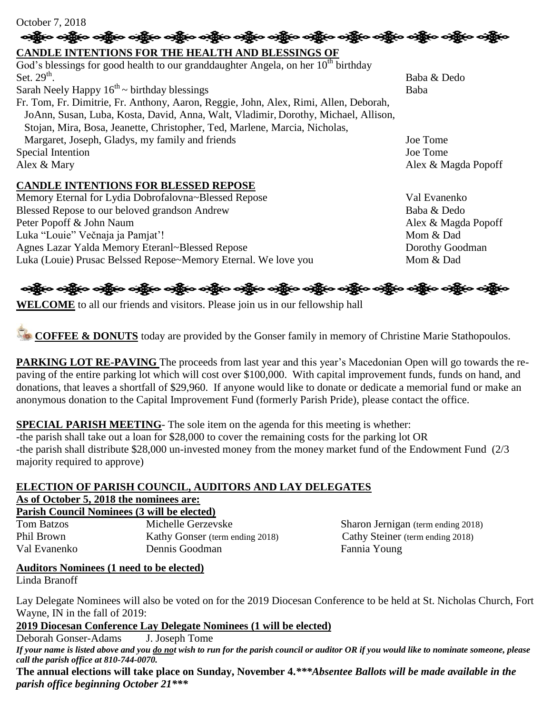October 7, 2018

# **CANDLE INTENTIONS FOR THE HEALTH AND BLESSINGS OF**

God's blessings for good health to our granddaughter Angela, on her  $10<sup>th</sup>$  birthday Set.  $29<sup>th</sup>$ . Sarah Neely Happy  $16^{th} \sim \text{birthday blessings}$  Baba Fr. Tom, Fr. Dimitrie, Fr. Anthony, Aaron, Reggie, John, Alex, Rimi, Allen, Deborah, JoAnn, Susan, Luba, Kosta, David, Anna, Walt, Vladimir, Dorothy, Michael, Allison, Stojan, Mira, Bosa, Jeanette, Christopher, Ted, Marlene, Marcia, Nicholas, Margaret, Joseph, Gladys, my family and friends Joe Tome Special Intention Joe Tome Alex & Mary Alex & Magda Popoff

လန္တြိုးေလ့ရွိပ္ေလ့ရွိပ္ေလ့ရွိပ္ေလ့ရွိပ္ေလ့ရွိပ္ေလ့ရွိပ္ေလ့ရွိပ္ေလ့ရွိပ္ေလ့ရွိပ္ေလ့ရွိပ္ေလ့ရွိပ္ေလွရွိပ

### **CANDLE INTENTIONS FOR BLESSED REPOSE**

Memory Eternal for Lydia Dobrofalovna~Blessed Repose Val Evanenko Blessed Repose to our beloved grandson Andrew Baba & Dedo Peter Popoff & John Naum Alex & Magda Popoff Luka "Louie" Večnaja ja Pamjat'! Mom & Dad Agnes Lazar Yalda Memory Eteranl~Blessed Repose Dorothy Goodman Luka (Louie) Prusac Belssed Repose~Memory Eternal. We love you Mom & Dad

. Baba & Dedo

လန္တြိုးေလ့ရွိပဲေလ့ရွိပဲေလ့ရွိပဲေလ့ရွိပဲေလ့ရွိပဲေလ့ရွိပဲေလ့ရွိပဲေလ့ရွိပဲေလ့ရွိပဲေလ့ရွိပဲေလ့ရွိပဲေလ့ရွိပဲေ

**WELCOME** to all our friends and visitors. Please join us in our fellowship hall

**COFFEE & DONUTS** today are provided by the Gonser family in memory of Christine Marie Stathopoulos.

**PARKING LOT RE-PAVING** The proceeds from last year and this year's Macedonian Open will go towards the repaving of the entire parking lot which will cost over \$100,000. With capital improvement funds, funds on hand, and donations, that leaves a shortfall of \$29,960. If anyone would like to donate or dedicate a memorial fund or make an anonymous donation to the Capital Improvement Fund (formerly Parish Pride), please contact the office.

**SPECIAL PARISH MEETING**- The sole item on the agenda for this meeting is whether:

-the parish shall take out a loan for \$28,000 to cover the remaining costs for the parking lot OR -the parish shall distribute \$28,000 un-invested money from the money market fund of the Endowment Fund (2/3 majority required to approve)

#### **ELECTION OF PARISH COUNCIL, AUDITORS AND LAY DELEGATES**

## **As of October 5, 2018 the nominees are:**

**Parish Council Nominees (3 will be elected)**

Tom Batzos Michelle Gerzevske Sharon Jernigan (term ending 2018) Phil Brown Kathy Gonser (term ending 2018) Cathy Steiner (term ending 2018) Val Evanenko Dennis Goodman Fannia Young

#### **Auditors Nominees (1 need to be elected)**

Linda Branoff

Lay Delegate Nominees will also be voted on for the 2019 Diocesan Conference to be held at St. Nicholas Church, Fort Wayne, IN in the fall of 2019:

#### **2019 Diocesan Conference Lay Delegate Nominees (1 will be elected)**

Deborah Gonser-Adams J. Joseph Tome

*If your name is listed above and you do not wish to run for the parish council or auditor OR if you would like to nominate someone, please call the parish office at 810-744-0070.*

**The annual elections will take place on Sunday, November 4.***\*\*\*Absentee Ballots will be made available in the parish office beginning October 21\*\*\**